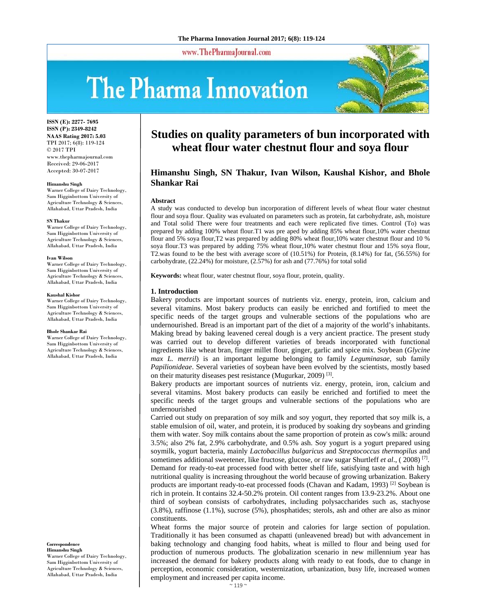www.ThePharmaJournal.com

# The Pharma Innovation



**ISSN (E): 2277- 7695 ISSN (P): 2349-8242 NAAS Rating 2017: 5.03** TPI 2017; 6(8): 119-124 © 2017 TPI www.thepharmajournal.com Received: 29-06-2017 Accepted: 30-07-2017

#### **Himanshu Singh**

Warner College of Dairy Technology, Sam Higginbottom University of Agriculture Technology & Sciences, Allahabad, Uttar Pradesh, India

#### **SN Thakur**

Warner College of Dairy Technology, Sam Higginbottom University of Agriculture Technology & Sciences, Allahabad, Uttar Pradesh, India

#### **Ivan Wilson**

Warner College of Dairy Technology, Sam Higginbottom University of Agriculture Technology & Sciences, Allahabad, Uttar Pradesh, India

#### **Kaushal Kishor**

Warner College of Dairy Technology, Sam Higginbottom University of Agriculture Technology & Sciences, Allahabad, Uttar Pradesh, India

#### **Bhole Shankar Rai**

Warner College of Dairy Technology, Sam Higginbottom University of Agriculture Technology & Sciences, Allahabad, Uttar Pradesh, India

**Correspondence Himanshu Singh** 

Warner College of Dairy Technology, Sam Higginbottom University of Agriculture Technology & Sciences, Allahabad, Uttar Pradesh, India

# **Studies on quality parameters of bun incorporated with wheat flour water chestnut flour and soya flour**

# **Himanshu Singh, SN Thakur, Ivan Wilson, Kaushal Kishor, and Bhole Shankar Rai**

#### **Abstract**

A study was conducted to develop bun incorporation of different levels of wheat flour water chestnut flour and soya flour. Quality was evaluated on parameters such as protein, fat carbohydrate, ash, moisture and Total solid There were four treatments and each were replicated five times. Control (To) was prepared by adding 100% wheat flour.T1 was pre aped by adding 85% wheat flour,10% water chestnut flour and 5% soya flour,T2 was prepared by adding 80% wheat flour,10% water chestnut flour and 10 % soya flour.T3 was prepared by adding 75% wheat flour,10% water chestnut flour and 15% soya flour, T2.was found to be the best with average score of (10.51%) for Protein, (8.14%) for fat, (56.55%) for carbohydrate, (22.24%) for moisture, (2.57%) for ash and (77.76%) for total solid

**Keywords:** wheat flour, water chestnut flour, soya flour, protein, quality.

#### **1. Introduction**

Bakery products are important sources of nutrients viz. energy, protein, iron, calcium and several vitamins. Most bakery products can easily be enriched and fortified to meet the specific needs of the target groups and vulnerable sections of the populations who are undernourished. Bread is an important part of the diet of a majority of the world's inhabitants. Making bread by baking leavened cereal dough is a very ancient practice. The present study was carried out to develop different varieties of breads incorporated with functional ingredients like wheat bran, finger millet flour, ginger, garlic and spice mix. Soybean (*Glycine max L. merril*) is an important legume belonging to family *Leguminasae,* sub family *Papilionideae*. Several varieties of soybean have been evolved by the scientists, mostly based on their maturity diseases pest resistance (Mugurkar, 2009) [3].

Bakery products are important sources of nutrients viz. energy, protein, iron, calcium and several vitamins. Most bakery products can easily be enriched and fortified to meet the specific needs of the target groups and vulnerable sections of the populations who are undernourished

Carried out study on preparation of soy milk and soy yogurt, they reported that soy milk is, a stable emulsion of oil, water, and protein, it is produced by soaking dry soybeans and grinding them with water. Soy milk contains about the same proportion of protein as cow's milk: around 3.5%; also 2% fat, 2.9% carbohydrate, and 0.5% ash. Soy yogurt is a yogurt prepared using soymilk, yogurt bacteria, mainly *Lactobacillus bulgaricus* and *Streptococcus thermopilus* and sometimes additional sweetener, like fructose, glucose, or raw sugar Shurtleff *et al*., ( 2008) [7]. Demand for ready-to-eat processed food with better shelf life, satisfying taste and with high nutritional quality is increasing throughout the world because of growing urbanization. Bakery products are important ready-to-eat processed foods (Chavan and Kadam, 1993)<sup>[2]</sup> Soybean is rich in protein. It contains 32.4-50.2% protein. Oil content ranges from 13.9-23.2%. About one third of soybean consists of carbohydrates, including polysaccharides such as, stachyose (3.8%), raffinose (1.1%), sucrose (5%), phosphatides; sterols, ash and other are also as minor constituents.

Wheat forms the major source of protein and calories for large section of population. Traditionally it has been consumed as chapatti (unleavened bread) but with advancement in baking technology and changing food habits, wheat is milled to flour and being used for production of numerous products. The globalization scenario in new millennium year has increased the demand for bakery products along with ready to eat foods, due to change in perception, economic consideration, westernization, urbanization, busy life, increased women employment and increased per capita income.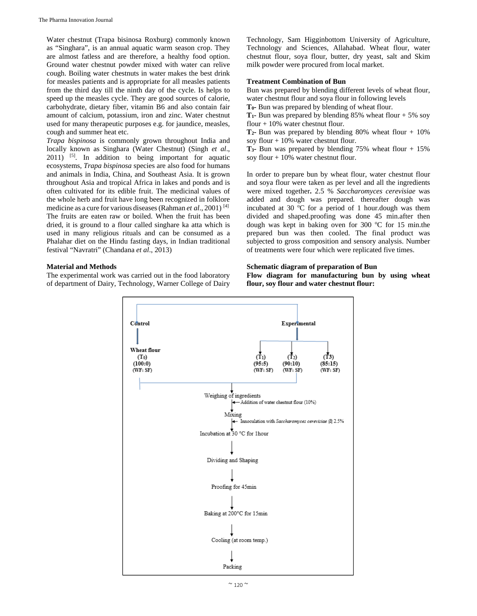Water chestnut (Trapa bisinosa Roxburg) commonly known as "Singhara", is an annual aquatic warm season crop. They are almost fatless and are therefore, a healthy food option. Ground water chestnut powder mixed with water can relive cough. Boiling water chestnuts in water makes the best drink for measles patients and is appropriate for all measles patients from the third day till the ninth day of the cycle. Is helps to speed up the measles cycle. They are good sources of calorie, carbohydrate, dietary fiber, vitamin B6 and also contain fair amount of calcium, potassium, iron and zinc. Water chestnut used for many therapeutic purposes e.g. for jaundice, measles, cough and summer heat etc.

*Trapa bispinosa* is commonly grown throughout India and locally known as Singhara (Water Chestnut) (Singh *et al*., 2011) [5]. In addition to being important for aquatic ecosystems, *Trapa bispinosa* species are also food for humans and animals in India, China, and Southeast Asia. It is grown throughout Asia and tropical Africa in lakes and ponds and is often cultivated for its edible fruit. The medicinal values of the whole herb and fruit have long been recognized in folklore medicine as a cure for various diseases(Rahman *et al*., 2001) [4] The fruits are eaten raw or boiled. When the fruit has been dried, it is ground to a flour called singhare ka atta which is used in many religious rituals and can be consumed as a Phalahar diet on the Hindu fasting days, in Indian traditional festival "Navratri" (Chandana *et al*., 2013)

# **Material and Methods**

The experimental work was carried out in the food laboratory of department of Dairy, Technology, Warner College of Dairy Technology, Sam Higginbottom University of Agriculture, Technology and Sciences, Allahabad. Wheat flour, water chestnut flour, soya flour, butter, dry yeast, salt and Skim milk powder were procured from local market.

# **Treatment Combination of Bun**

Bun was prepared by blending different levels of wheat flour, water chestnut flour and soya flour in following levels

**T0-** Bun was prepared by blending of wheat flour.

**T<sub>1</sub>-** Bun was prepared by blending 85% wheat flour  $+ 5\%$  soy flour + 10% water chestnut flour.

**T2-** Bun was prepared by blending 80% wheat flour + 10% soy flour + 10% water chestnut flour.

**T3-** Bun was prepared by blending 75% wheat flour + 15% soy flour + 10% water chestnut flour.

In order to prepare bun by wheat flour, water chestnut flour and soya flour were taken as per level and all the ingredients were mixed together**.** 2.5 % *Saccharomyces cerevisiae* was added and dough was prepared*.* thereafter dough was incubated at 30  $\rm{^{\circ}C}$  for a period of 1 hour.dough was them divided and shaped.proofing was done 45 min.after then dough was kept in baking oven for 300  $^{\circ}$ C for 15 min.the prepared bun was then cooled. The final product was subjected to gross composition and sensory analysis. Number of treatments were four which were replicated five times.

# **Schematic diagram of preparation of Bun**

**Flow diagram for manufacturing bun by using wheat flour, soy flour and water chestnut flour:** 

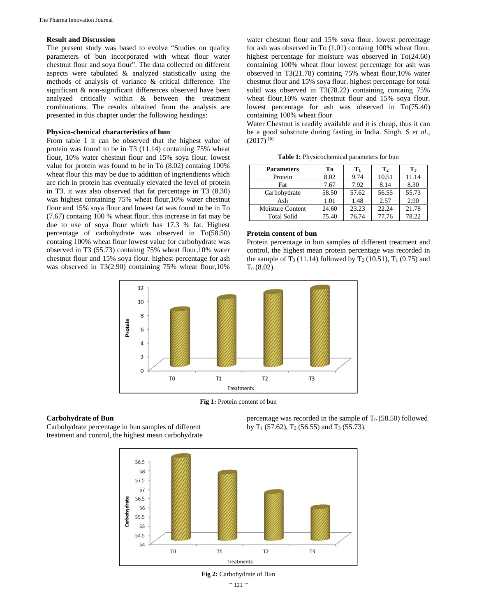## **Result and Discussion**

The present study was based to evolve "Studies on quality parameters of bun incorporated with wheat flour water chestnut flour and soya flour". The data collected on different aspects were tabulated & analyzed statistically using the methods of analysis of variance & critical difference. The significant & non-significant differences observed have been analyzed critically within & between the treatment combinations. The results obtained from the analysis are presented in this chapter under the following headings:

#### **Physico-chemical characteristics of bun**

From table 1 it can be observed that the highest value of protein was found to be in T3 (11.14) containing 75% wheat flour, 10% water chestnut flour and 15% soya flour. lowest value for protein was found to be in To (8.02) containg 100% wheat flour this may be due to addition of ingriendients which are rich in protein has eventually elevated the level of protein in T3. it was also observed that fat percentage in T3 (8.30) was highest containing 75% wheat flour,10% water chestnut flour and 15% soya flour and lowest fat was found to be in To (7.67) containg 100 % wheat flour. this increase in fat may be due to use of soya flour which has 17.3 % fat. Highest percentage of carbohydrate was observed in To(58.50) containg 100% wheat flour lowest value for carbohydrate was observed in T3 (55.73) contaimg 75% wheat flour,10% water chestnut flour and 15% soya flour. highest percentage for ash was observed in T3(2.90) containing 75% wheat flour,10%

water chestnut flour and 15% soya flour. lowest percentage for ash was observed in To (1.01) containg 100% wheat flour. highest percentage for moisture was observed in To(24.60) containing 100% wheat flour lowest percentage for ash was observed in T3(21.78) containg 75% wheat flour,10% water chestnut flour and 15% soya flour. highest percentage for total solid was observed in T3(78.22) containing containg 75% wheat flour,10% water chestnut flour and 15% soya flour. lowest percentage for ash was observed in To(75.40) containing 100% wheat flour

Water Chestnut is readily available and it is cheap, thus it can be a good substitute during fasting in India. Singh. S *et al*.,  $(2017)$ <sup>[6]</sup>

| <b>Parameters</b>  | Tо    | $\mathbf{T}_1$ | ${\bf T}_2$ | T <sub>3</sub> |
|--------------------|-------|----------------|-------------|----------------|
| Protein            | 8.02  | 9.74           | 10.51       | 11.14          |
| Fat                | 7.67  | 7.92           | 8.14        | 8.30           |
| Carbohydrate       | 58.50 | 57.62          | 56.55       | 55.73          |
| Ash                | 1.01  | 1.48           | 2.57        | 2.90           |
| Moisture Content   | 24.60 | 23.23          | 22.24       | 21.78          |
| <b>Total Solid</b> | 75.40 | 76.74          | 77.76       | 78.22          |

**Table 1:** Physicochemical parameters for bun

#### **Protein content of bun**

Protein percentage in bun samples of different treatment and control, the highest mean protein percentage was recorded in the sample of T<sub>3</sub> (11.14) followed by T<sub>2</sub> (10.51), T<sub>1</sub> (9.75) and  $T_0 (8.02)$ .



**Fig 1:** Protein content of bun

#### **Carbohydrate of Bun**

Carbohydrate percentage in bun samples of different treatment and control, the highest mean carbohydrate

percentage was recorded in the sample of  $T_0$  (58.50) followed by  $T_1$  (57.62),  $T_2$  (56.55) and  $T_3$  (55.73).



**Fig 2:** Carbohydrate of Bun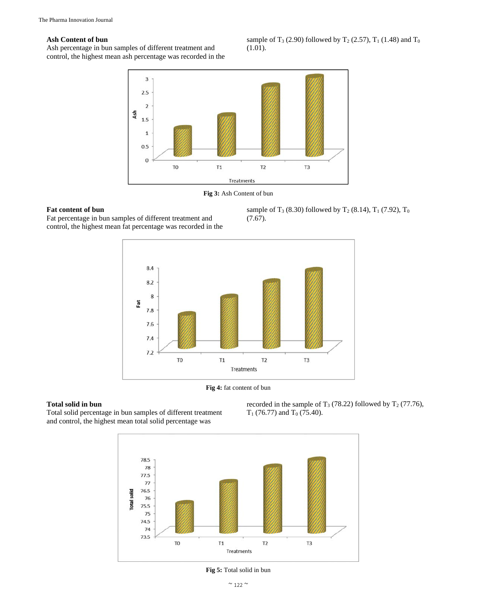# **Ash Content of bun**

Ash percentage in bun samples of different treatment and control, the highest mean ash percentage was recorded in the sample of T<sub>3</sub> (2.90) followed by T<sub>2</sub> (2.57), T<sub>1</sub> (1.48) and T<sub>0</sub> (1.01).



**Fig 3:** Ash Content of bun

# **Fat content of bun**

Fat percentage in bun samples of different treatment and control, the highest mean fat percentage was recorded in the





**Fig 4:** fat content of bun

# **Total solid in bun**

Total solid percentage in bun samples of different treatment and control, the highest mean total solid percentage was





**Fig 5:** Total solid in bun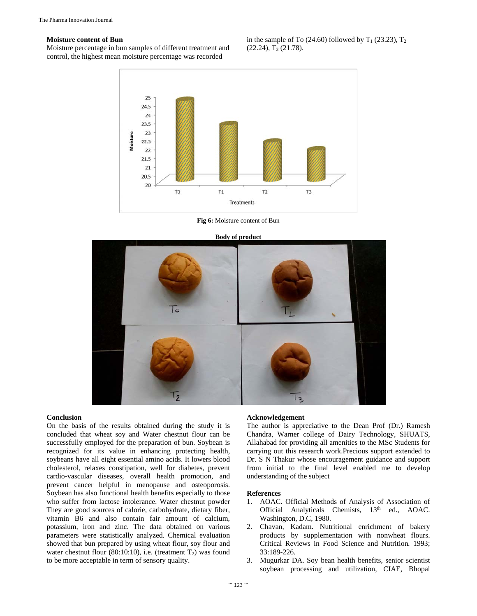#### **Moisture content of Bun**

Moisture percentage in bun samples of different treatment and control, the highest mean moisture percentage was recorded

in the sample of To (24.60) followed by  $T_1$  (23.23),  $T_2$  $(22.24), T<sub>3</sub> (21.78).$ 



**Fig 6:** Moisture content of Bun



#### **Conclusion**

On the basis of the results obtained during the study it is concluded that wheat soy and Water chestnut flour can be successfully employed for the preparation of bun. Soybean is recognized for its value in enhancing protecting health, soybeans have all eight essential amino acids. It lowers blood cholesterol, relaxes constipation, well for diabetes, prevent cardio-vascular diseases, overall health promotion, and prevent cancer helpful in menopause and osteoporosis. Soybean has also functional health benefits especially to those who suffer from lactose intolerance. Water chestnut powder They are good sources of calorie, carbohydrate, dietary fiber, vitamin B6 and also contain fair amount of calcium, potassium, iron and zinc. The data obtained on various parameters were statistically analyzed. Chemical evaluation showed that bun prepared by using wheat flour, soy flour and water chestnut flour (80:10:10), i.e. (treatment  $T_2$ ) was found to be more acceptable in term of sensory quality.

#### **Acknowledgement**

The author is appreciative to the Dean Prof (Dr.) Ramesh Chandra, Warner college of Dairy Technology, SHUATS, Allahabad for providing all amenities to the MSc Students for carrying out this research work.Precious support extended to Dr. S N Thakur whose encouragement guidance and support from initial to the final level enabled me to develop understanding of the subject

## **References**

- 1. AOAC. Official Methods of Analysis of Association of Official Analyticals Chemists, 13<sup>th</sup> ed., AOAC. Washington, D.C, 1980.
- 2. Chavan, Kadam. Nutritional enrichment of bakery products by supplementation with nonwheat flours. Critical Reviews in Food Science and Nutrition*.* 1993; 33:189-226.
- 3. Mugurkar DA. Soy bean health benefits, senior scientist soybean processing and utilization, CIAE, Bhopal